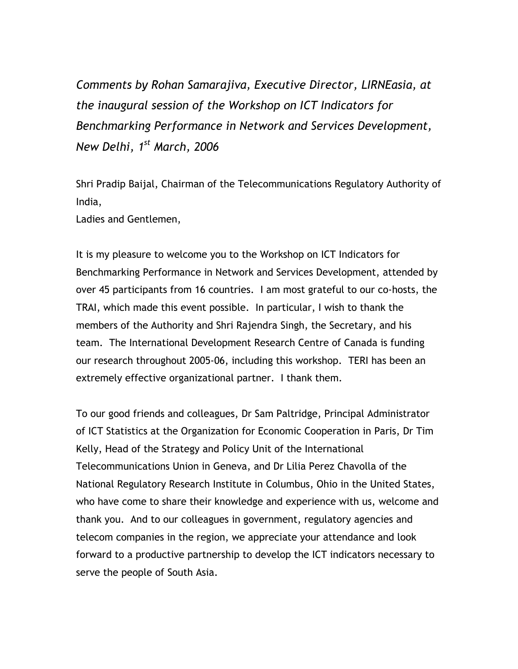*Comments by Rohan Samarajiva, Executive Director, LIRNEasia, at the inaugural session of the Workshop on ICT Indicators for Benchmarking Performance in Network and Services Development, New Delhi, 1st March, 2006* 

Shri Pradip Baijal, Chairman of the Telecommunications Regulatory Authority of India,

Ladies and Gentlemen,

It is my pleasure to welcome you to the Workshop on ICT Indicators for Benchmarking Performance in Network and Services Development, attended by over 45 participants from 16 countries. I am most grateful to our co-hosts, the TRAI, which made this event possible. In particular, I wish to thank the members of the Authority and Shri Rajendra Singh, the Secretary, and his team. The International Development Research Centre of Canada is funding our research throughout 2005-06, including this workshop. TERI has been an extremely effective organizational partner. I thank them.

To our good friends and colleagues, Dr Sam Paltridge, Principal Administrator of ICT Statistics at the Organization for Economic Cooperation in Paris, Dr Tim Kelly, Head of the Strategy and Policy Unit of the International Telecommunications Union in Geneva, and Dr Lilia Perez Chavolla of the National Regulatory Research Institute in Columbus, Ohio in the United States, who have come to share their knowledge and experience with us, welcome and thank you. And to our colleagues in government, regulatory agencies and telecom companies in the region, we appreciate your attendance and look forward to a productive partnership to develop the ICT indicators necessary to serve the people of South Asia.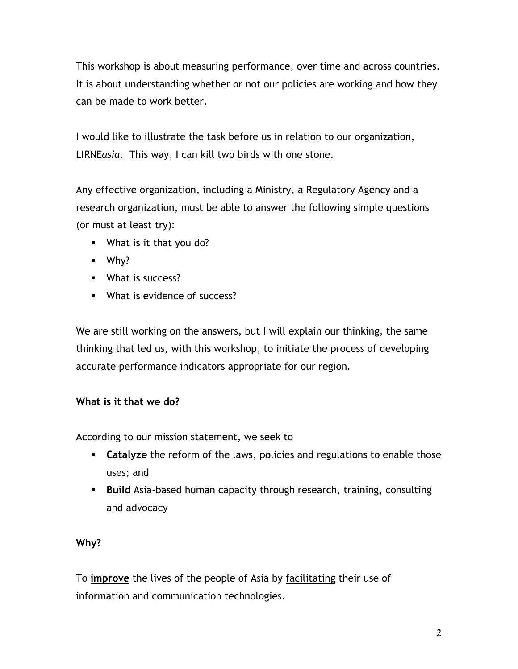This workshop is about measuring performance, over time and across countries. It is about understanding whether or not our policies are working and how they can be made to work better.

I would like to illustrate the task before us in relation to our organization, LIRNE*asia*. This way, I can kill two birds with one stone.

Any effective organization, including a Ministry, a Regulatory Agency and a research organization, must be able to answer the following simple questions (or must at least try):

- What is it that you do?
- Why?
- **What is success?**
- **What is evidence of success?**

We are still working on the answers, but I will explain our thinking, the same thinking that led us, with this workshop, to initiate the process of developing accurate performance indicators appropriate for our region.

## **What is it that we do?**

According to our mission statement, we seek to

- **Catalyze** the reform of the laws, policies and regulations to enable those uses; and
- **Build** Asia-based human capacity through research, training, consulting and advocacy

## **Why?**

To **improve** the lives of the people of Asia by facilitating their use of information and communication technologies.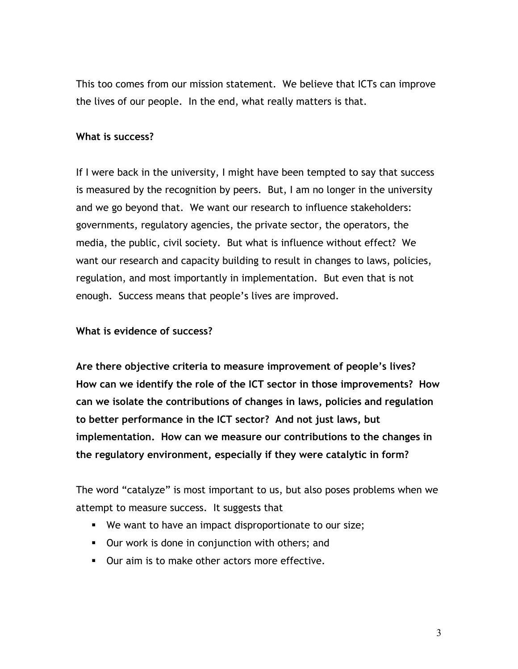This too comes from our mission statement. We believe that ICTs can improve the lives of our people. In the end, what really matters is that.

## **What is success?**

If I were back in the university, I might have been tempted to say that success is measured by the recognition by peers. But, I am no longer in the university and we go beyond that. We want our research to influence stakeholders: governments, regulatory agencies, the private sector, the operators, the media, the public, civil society. But what is influence without effect? We want our research and capacity building to result in changes to laws, policies, regulation, and most importantly in implementation. But even that is not enough. Success means that people's lives are improved.

## **What is evidence of success?**

**Are there objective criteria to measure improvement of people's lives? How can we identify the role of the ICT sector in those improvements? How can we isolate the contributions of changes in laws, policies and regulation to better performance in the ICT sector? And not just laws, but implementation. How can we measure our contributions to the changes in the regulatory environment, especially if they were catalytic in form?** 

The word "catalyze" is most important to us, but also poses problems when we attempt to measure success. It suggests that

- We want to have an impact disproportionate to our size;
- Our work is done in conjunction with others; and
- **Durallers** 10 make other actors more effective.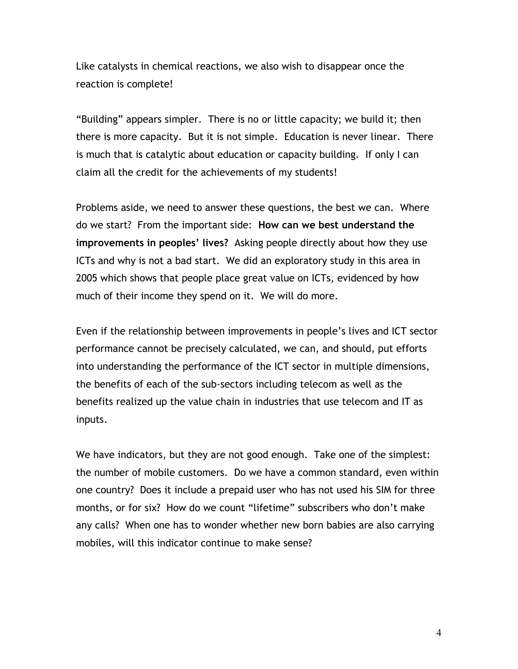Like catalysts in chemical reactions, we also wish to disappear once the reaction is complete!

"Building" appears simpler. There is no or little capacity; we build it; then there is more capacity. But it is not simple. Education is never linear. There is much that is catalytic about education or capacity building. If only I can claim all the credit for the achievements of my students!

Problems aside, we need to answer these questions, the best we can. Where do we start? From the important side: **How can we best understand the improvements in peoples' lives?** Asking people directly about how they use ICTs and why is not a bad start. We did an exploratory study in this area in 2005 which shows that people place great value on ICTs, evidenced by how much of their income they spend on it. We will do more.

Even if the relationship between improvements in people's lives and ICT sector performance cannot be precisely calculated, we can, and should, put efforts into understanding the performance of the ICT sector in multiple dimensions, the benefits of each of the sub-sectors including telecom as well as the benefits realized up the value chain in industries that use telecom and IT as inputs.

We have indicators, but they are not good enough. Take one of the simplest: the number of mobile customers. Do we have a common standard, even within one country? Does it include a prepaid user who has not used his SIM for three months, or for six? How do we count "lifetime" subscribers who don't make any calls? When one has to wonder whether new born babies are also carrying mobiles, will this indicator continue to make sense?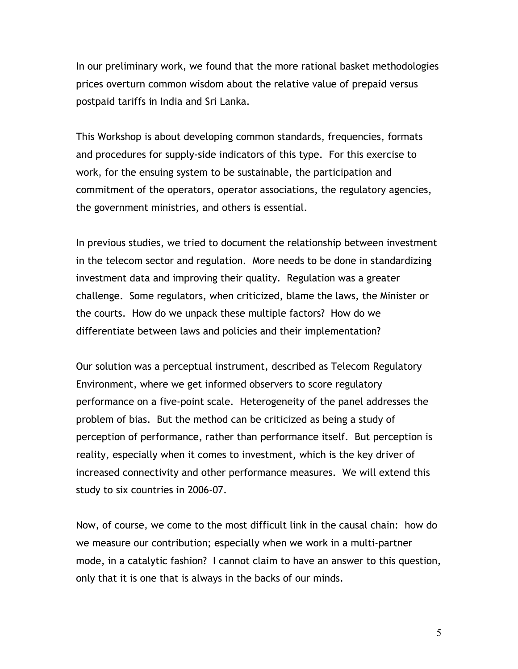In our preliminary work, we found that the more rational basket methodologies prices overturn common wisdom about the relative value of prepaid versus postpaid tariffs in India and Sri Lanka.

This Workshop is about developing common standards, frequencies, formats and procedures for supply-side indicators of this type. For this exercise to work, for the ensuing system to be sustainable, the participation and commitment of the operators, operator associations, the regulatory agencies, the government ministries, and others is essential.

In previous studies, we tried to document the relationship between investment in the telecom sector and regulation. More needs to be done in standardizing investment data and improving their quality. Regulation was a greater challenge. Some regulators, when criticized, blame the laws, the Minister or the courts. How do we unpack these multiple factors? How do we differentiate between laws and policies and their implementation?

Our solution was a perceptual instrument, described as Telecom Regulatory Environment, where we get informed observers to score regulatory performance on a five-point scale. Heterogeneity of the panel addresses the problem of bias. But the method can be criticized as being a study of perception of performance, rather than performance itself. But perception is reality, especially when it comes to investment, which is the key driver of increased connectivity and other performance measures. We will extend this study to six countries in 2006-07.

Now, of course, we come to the most difficult link in the causal chain: how do we measure our contribution; especially when we work in a multi-partner mode, in a catalytic fashion? I cannot claim to have an answer to this question, only that it is one that is always in the backs of our minds.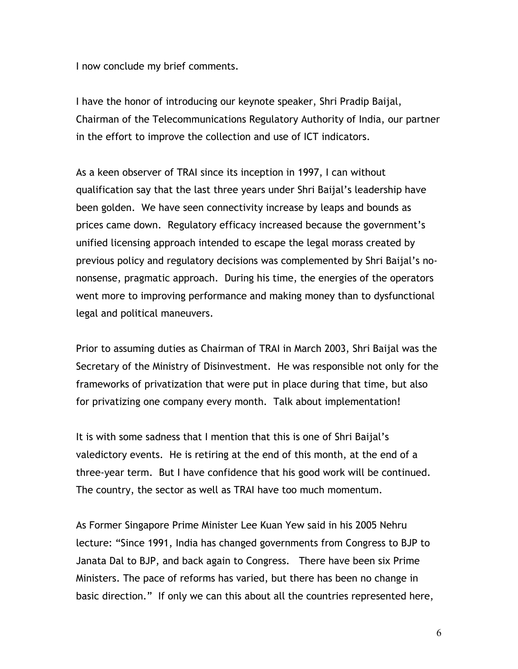I now conclude my brief comments.

I have the honor of introducing our keynote speaker, Shri Pradip Baijal, Chairman of the Telecommunications Regulatory Authority of India, our partner in the effort to improve the collection and use of ICT indicators.

As a keen observer of TRAI since its inception in 1997, I can without qualification say that the last three years under Shri Baijal's leadership have been golden. We have seen connectivity increase by leaps and bounds as prices came down. Regulatory efficacy increased because the government's unified licensing approach intended to escape the legal morass created by previous policy and regulatory decisions was complemented by Shri Baijal's nononsense, pragmatic approach. During his time, the energies of the operators went more to improving performance and making money than to dysfunctional legal and political maneuvers.

Prior to assuming duties as Chairman of TRAI in March 2003, Shri Baijal was the Secretary of the Ministry of Disinvestment. He was responsible not only for the frameworks of privatization that were put in place during that time, but also for privatizing one company every month. Talk about implementation!

It is with some sadness that I mention that this is one of Shri Baijal's valedictory events. He is retiring at the end of this month, at the end of a three-year term. But I have confidence that his good work will be continued. The country, the sector as well as TRAI have too much momentum.

As Former Singapore Prime Minister Lee Kuan Yew said in his 2005 Nehru lecture: "Since 1991, India has changed governments from Congress to BJP to Janata Dal to BJP, and back again to Congress. There have been six Prime Ministers. The pace of reforms has varied, but there has been no change in basic direction." If only we can this about all the countries represented here,